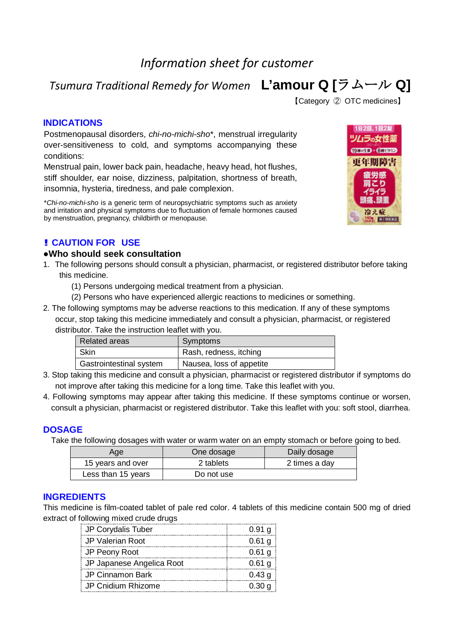# *Information sheet for customer*

*Tsumura Traditional Remedy for Women* **L'amour Q [**ラムール **Q]**

【Category ② OTC medicines】

#### **INDICATIONS**

Postmenopausal disorders, *chi-no-michi-sho*\*, menstrual irregularity over-sensitiveness to cold, and symptoms accompanying these conditions:

Menstrual pain, lower back pain, headache, heavy head, hot flushes, stiff shoulder, ear noise, dizziness, palpitation, shortness of breath, insomnia, hysteria, tiredness, and pale complexion.

\**Chi-no-michi-sho* is a generic term of neuropsychiatric symptoms such as anxiety and irritation and physical symptoms due to fluctuation of female hormones caused by menstruation, pregnancy, childbirth or menopause.

# **! CAUTION FOR USE**

#### **●Who should seek consultation**

- 1. The following persons should consult a physician, pharmacist, or registered distributor before taking this medicine.
	- (1) Persons undergoing medical treatment from a physician.
	- (2) Persons who have experienced allergic reactions to medicines or something.
- 2. The following symptoms may be adverse reactions to this medication. If any of these symptoms occur, stop taking this medicine immediately and consult a physician, pharmacist, or registered distributor. Take the instruction leaflet with you.

| <b>Related areas</b>    | Symptoms                 |
|-------------------------|--------------------------|
| Skin                    | Rash, redness, itching   |
| Gastrointestinal system | Nausea, loss of appetite |

- 3. Stop taking this medicine and consult a physician, pharmacist or registered distributor if symptoms do not improve after taking this medicine for a long time. Take this leaflet with you.
- 4. Following symptoms may appear after taking this medicine. If these symptoms continue or worsen, consult a physician, pharmacist or registered distributor. Take this leaflet with you: soft stool, diarrhea.

# **DOSAGE**

Take the following dosages with water or warm water on an empty stomach or before going to bed.

| Age                | One dosage | Daily dosage  |
|--------------------|------------|---------------|
| 15 years and over  | 2 tablets  | 2 times a day |
| Less than 15 years | Do not use |               |

# **INGREDIENTS**

This medicine is film-coated tablet of pale red color. 4 tablets of this medicine contain 500 mg of dried extract of following mixed crude drugs

| JP Corydalis Tuber        | $0.91$ g |
|---------------------------|----------|
| JP Valerian Root          | $0.61$ g |
| JP Peony Root             | $0.61$ g |
| JP Japanese Angelica Root | $0.61$ g |
| <b>JP Cinnamon Bark</b>   | 0.43 g   |
| JP Cnidium Rhizome        | 0.30 g   |